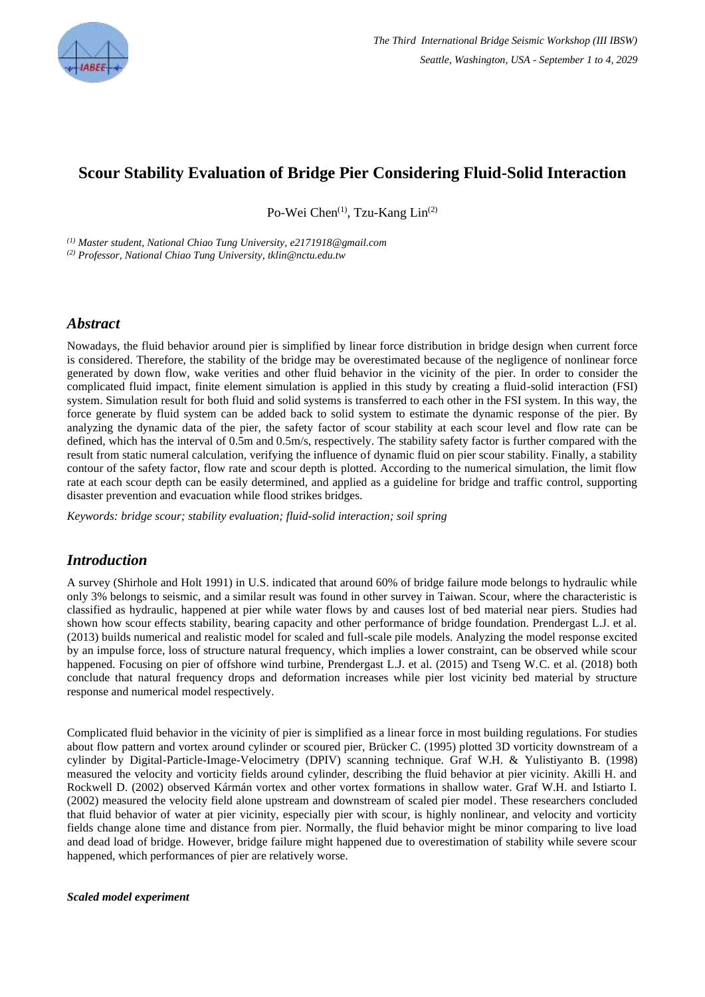

# **Scour Stability Evaluation of Bridge Pier Considering Fluid-Solid Interaction**

Po-Wei Chen<sup>(1)</sup>, Tzu-Kang Lin<sup>(2)</sup>

*(1) Master student, National Chiao Tung University, e2171918@gmail.com (2) Professor, National Chiao Tung University, tklin@nctu.edu.tw*

#### *Abstract*

Nowadays, the fluid behavior around pier is simplified by linear force distribution in bridge design when current force is considered. Therefore, the stability of the bridge may be overestimated because of the negligence of nonlinear force generated by down flow, wake verities and other fluid behavior in the vicinity of the pier. In order to consider the complicated fluid impact, finite element simulation is applied in this study by creating a fluid-solid interaction (FSI) system. Simulation result for both fluid and solid systems is transferred to each other in the FSI system. In this way, the force generate by fluid system can be added back to solid system to estimate the dynamic response of the pier. By analyzing the dynamic data of the pier, the safety factor of scour stability at each scour level and flow rate can be defined, which has the interval of 0.5m and 0.5m/s, respectively. The stability safety factor is further compared with the result from static numeral calculation, verifying the influence of dynamic fluid on pier scour stability. Finally, a stability contour of the safety factor, flow rate and scour depth is plotted. According to the numerical simulation, the limit flow rate at each scour depth can be easily determined, and applied as a guideline for bridge and traffic control, supporting disaster prevention and evacuation while flood strikes bridges.

*Keywords: bridge scour; stability evaluation; fluid-solid interaction; soil spring*

### *Introduction*

A survey (Shirhole and Holt 1991) in U.S. indicated that around 60% of bridge failure mode belongs to hydraulic while only 3% belongs to seismic, and a similar result was found in other survey in Taiwan. Scour, where the characteristic is classified as hydraulic, happened at pier while water flows by and causes lost of bed material near piers. Studies had shown how scour effects stability, bearing capacity and other performance of bridge foundation. Prendergast L.J. et al. (2013) builds numerical and realistic model for scaled and full-scale pile models. Analyzing the model response excited by an impulse force, loss of structure natural frequency, which implies a lower constraint, can be observed while scour happened. Focusing on pier of offshore wind turbine, Prendergast L.J. et al. (2015) and Tseng W.C. et al. (2018) both conclude that natural frequency drops and deformation increases while pier lost vicinity bed material by structure response and numerical model respectively.

Complicated fluid behavior in the vicinity of pier is simplified as a linear force in most building regulations. For studies about flow pattern and vortex around cylinder or scoured pier, Brücker C. (1995) plotted 3D vorticity downstream of a cylinder by Digital-Particle-Image-Velocimetry (DPIV) scanning technique. Graf W.H. & Yulistiyanto B. (1998) measured the velocity and vorticity fields around cylinder, describing the fluid behavior at pier vicinity. Akilli H. and Rockwell D. (2002) observed Kármán vortex and other vortex formations in shallow water. Graf W.H. and Istiarto I. (2002) measured the velocity field alone upstream and downstream of scaled pier model. These researchers concluded that fluid behavior of water at pier vicinity, especially pier with scour, is highly nonlinear, and velocity and vorticity fields change alone time and distance from pier. Normally, the fluid behavior might be minor comparing to live load and dead load of bridge. However, bridge failure might happened due to overestimation of stability while severe scour happened, which performances of pier are relatively worse.

#### *Scaled model experiment*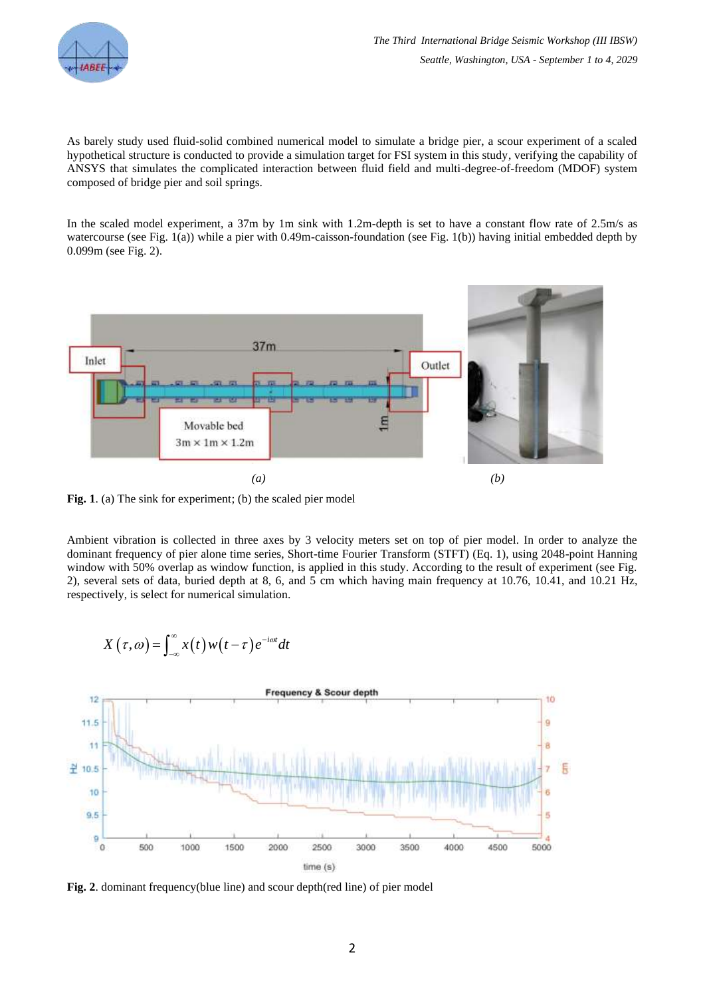

As barely study used fluid-solid combined numerical model to simulate a bridge pier, a scour experiment of a scaled hypothetical structure is conducted to provide a simulation target for FSI system in this study, verifying the capability of ANSYS that simulates the complicated interaction between fluid field and multi-degree-of-freedom (MDOF) system composed of bridge pier and soil springs.

In the scaled model experiment, a 37m by 1m sink with 1.2m-depth is set to have a constant flow rate of 2.5m/s as watercourse (see Fig. 1(a)) while a pier with 0.49m-caisson-foundation (see Fig. 1(b)) having initial embedded depth by 0.099m (see Fig. 2).



Fig. 1. (a) The sink for experiment; (b) the scaled pier model

Ambient vibration is collected in three axes by 3 velocity meters set on top of pier model. In order to analyze the dominant frequency of pier alone time series, Short-time Fourier Transform (STFT) (Eq. 1), using 2048-point Hanning window with 50% overlap as window function, is applied in this study. According to the result of experiment (see Fig. 2), several sets of data, buried depth at 8, 6, and 5 cm which having main frequency at 10.76, 10.41, and 10.21 Hz, respectively, is select for numerical simulation.

$$
X(\tau,\omega) = \int_{-\infty}^{\infty} x(t) w(t-\tau) e^{-i\omega t} dt
$$



**Fig. 2**. dominant frequency(blue line) and scour depth(red line) of pier model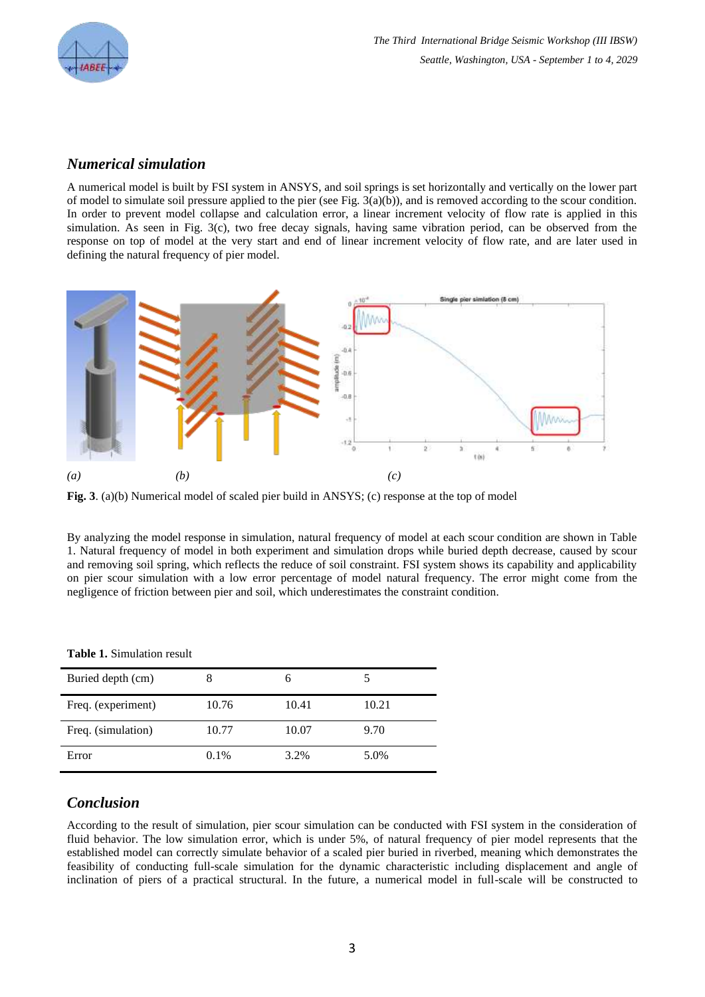

#### *Numerical simulation*

A numerical model is built by FSI system in ANSYS, and soil springs is set horizontally and vertically on the lower part of model to simulate soil pressure applied to the pier (see Fig. 3(a)(b)), and is removed according to the scour condition. In order to prevent model collapse and calculation error, a linear increment velocity of flow rate is applied in this simulation. As seen in Fig. 3(c), two free decay signals, having same vibration period, can be observed from the response on top of model at the very start and end of linear increment velocity of flow rate, and are later used in defining the natural frequency of pier model.



**Fig. 3**. (a)(b) Numerical model of scaled pier build in ANSYS; (c) response at the top of model

By analyzing the model response in simulation, natural frequency of model at each scour condition are shown in Table 1. Natural frequency of model in both experiment and simulation drops while buried depth decrease, caused by scour and removing soil spring, which reflects the reduce of soil constraint. FSI system shows its capability and applicability on pier scour simulation with a low error percentage of model natural frequency. The error might come from the negligence of friction between pier and soil, which underestimates the constraint condition.

| $\sim$ which is planted to the replace |       |       |       |
|----------------------------------------|-------|-------|-------|
| Buried depth (cm)                      |       |       |       |
| Freq. (experiment)                     | 10.76 | 10.41 | 10.21 |
| Freq. (simulation)                     | 10.77 | 10.07 | 9.70  |
| Error                                  | 0.1%  | 3.2%  | 5.0%  |

#### **Table 1.** Simulation result

### *Conclusion*

According to the result of simulation, pier scour simulation can be conducted with FSI system in the consideration of fluid behavior. The low simulation error, which is under 5%, of natural frequency of pier model represents that the established model can correctly simulate behavior of a scaled pier buried in riverbed, meaning which demonstrates the feasibility of conducting full-scale simulation for the dynamic characteristic including displacement and angle of inclination of piers of a practical structural. In the future, a numerical model in full-scale will be constructed to